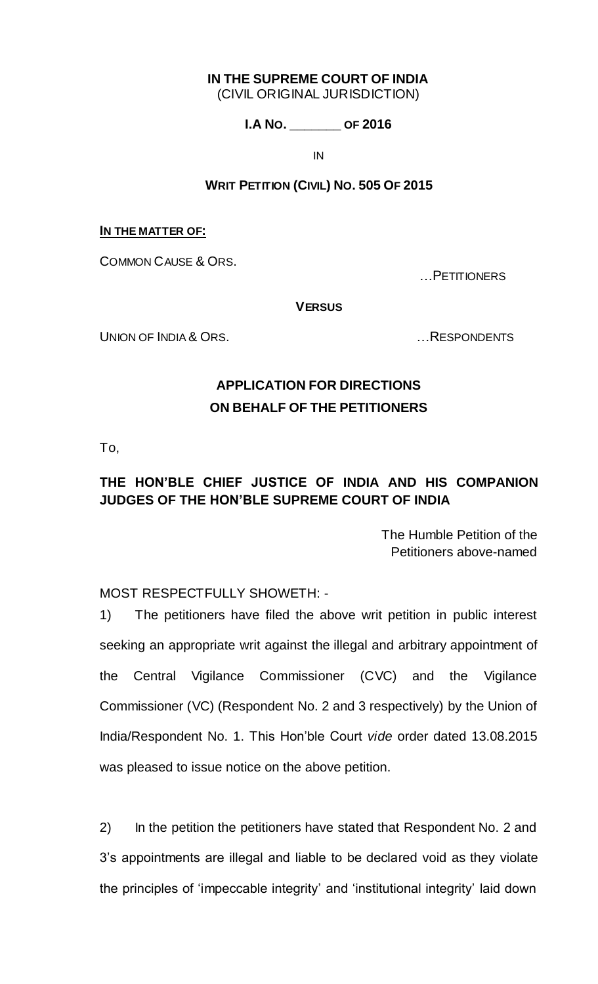# **IN THE SUPREME COURT OF INDIA**

(CIVIL ORIGINAL JURISDICTION)

**I.A NO. \_\_\_\_\_\_\_ OF 2016**

IN

## **WRIT PETITION (CIVIL) NO. 505 OF 2015**

### **IN THE MATTER OF:**

COMMON CAUSE & ORS.

…PETITIONERS

### **VERSUS**

UNION OF INDIA & ORS. The Second Second Second Second Second Second Second Second Second Second Second Second S

## **APPLICATION FOR DIRECTIONS ON BEHALF OF THE PETITIONERS**

To,

## **THE HON'BLE CHIEF JUSTICE OF INDIA AND HIS COMPANION JUDGES OF THE HON'BLE SUPREME COURT OF INDIA**

The Humble Petition of the Petitioners above-named

## MOST RESPECTFULLY SHOWETH: -

1) The petitioners have filed the above writ petition in public interest seeking an appropriate writ against the illegal and arbitrary appointment of the Central Vigilance Commissioner (CVC) and the Vigilance Commissioner (VC) (Respondent No. 2 and 3 respectively) by the Union of India/Respondent No. 1. This Hon"ble Court *vide* order dated 13.08.2015 was pleased to issue notice on the above petition.

2) In the petition the petitioners have stated that Respondent No. 2 and 3"s appointments are illegal and liable to be declared void as they violate the principles of "impeccable integrity" and "institutional integrity" laid down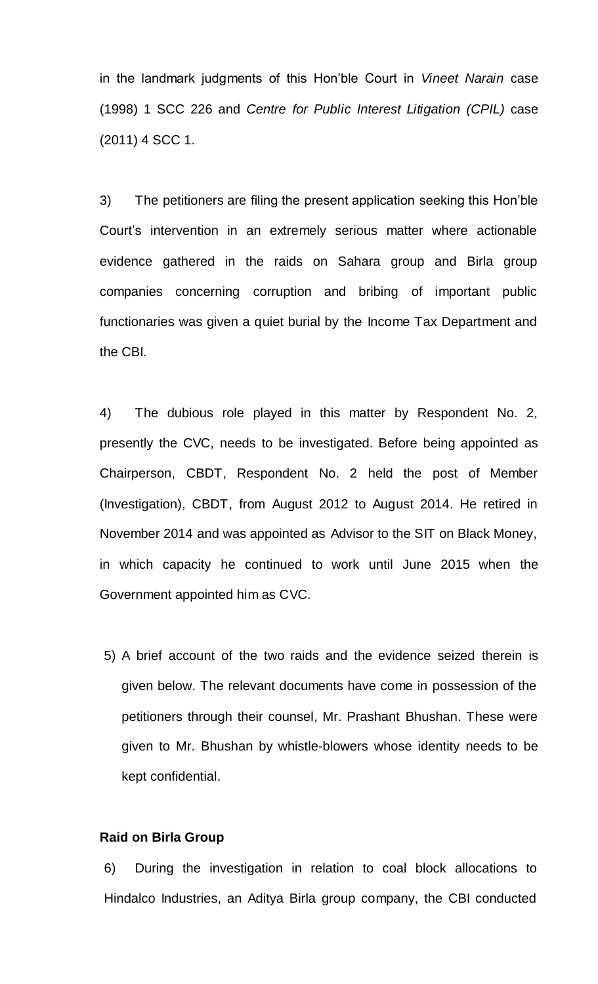in the landmark judgments of this Hon"ble Court in *Vineet Narain* case (1998) 1 SCC 226 and *Centre for Public Interest Litigation (CPIL)* case (2011) 4 SCC 1.

3) The petitioners are filing the present application seeking this Hon"ble Court"s intervention in an extremely serious matter where actionable evidence gathered in the raids on Sahara group and Birla group companies concerning corruption and bribing of important public functionaries was given a quiet burial by the Income Tax Department and the CBI.

4) The dubious role played in this matter by Respondent No. 2, presently the CVC, needs to be investigated. Before being appointed as Chairperson, CBDT, Respondent No. 2 held the post of Member (Investigation), CBDT, from August 2012 to August 2014. He retired in November 2014 and was appointed as Advisor to the SIT on Black Money, in which capacity he continued to work until June 2015 when the Government appointed him as CVC.

5) A brief account of the two raids and the evidence seized therein is given below. The relevant documents have come in possession of the petitioners through their counsel, Mr. Prashant Bhushan. These were given to Mr. Bhushan by whistle-blowers whose identity needs to be kept confidential.

### **Raid on Birla Group**

6) During the investigation in relation to coal block allocations to Hindalco Industries, an Aditya Birla group company, the CBI conducted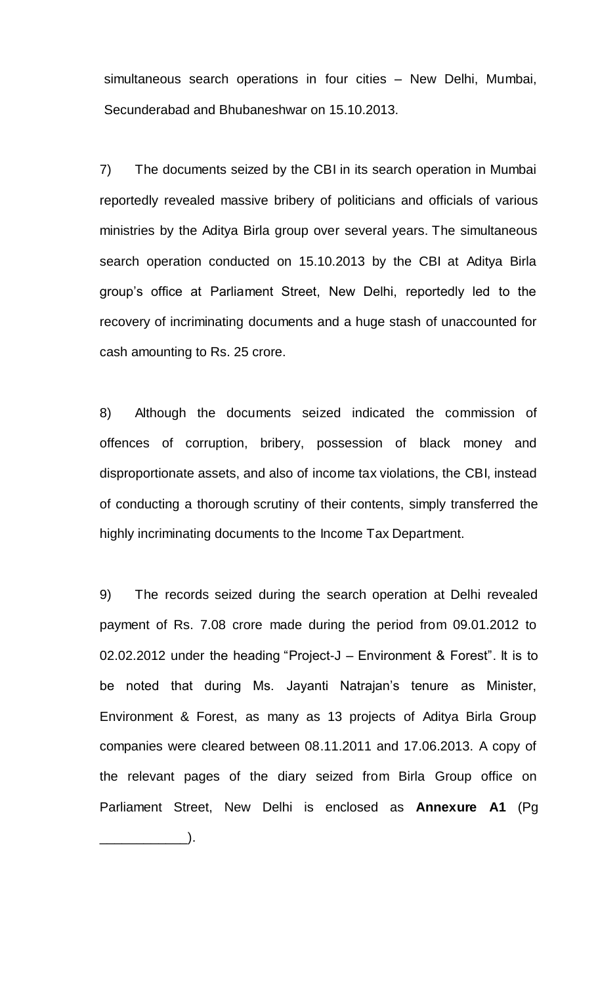simultaneous search operations in four cities – New Delhi, Mumbai, Secunderabad and Bhubaneshwar on 15.10.2013.

7) The documents seized by the CBI in its search operation in Mumbai reportedly revealed massive bribery of politicians and officials of various ministries by the Aditya Birla group over several years. The simultaneous search operation conducted on 15.10.2013 by the CBI at Aditya Birla group"s office at Parliament Street, New Delhi, reportedly led to the recovery of incriminating documents and a huge stash of unaccounted for cash amounting to Rs. 25 crore.

8) Although the documents seized indicated the commission of offences of corruption, bribery, possession of black money and disproportionate assets, and also of income tax violations, the CBI, instead of conducting a thorough scrutiny of their contents, simply transferred the highly incriminating documents to the Income Tax Department.

9) The records seized during the search operation at Delhi revealed payment of Rs. 7.08 crore made during the period from 09.01.2012 to 02.02.2012 under the heading "Project-J – Environment & Forest". It is to be noted that during Ms. Jayanti Natrajan's tenure as Minister, Environment & Forest, as many as 13 projects of Aditya Birla Group companies were cleared between 08.11.2011 and 17.06.2013. A copy of the relevant pages of the diary seized from Birla Group office on Parliament Street, New Delhi is enclosed as **Annexure A1** (Pg  $\qquad \qquad \qquad \Box$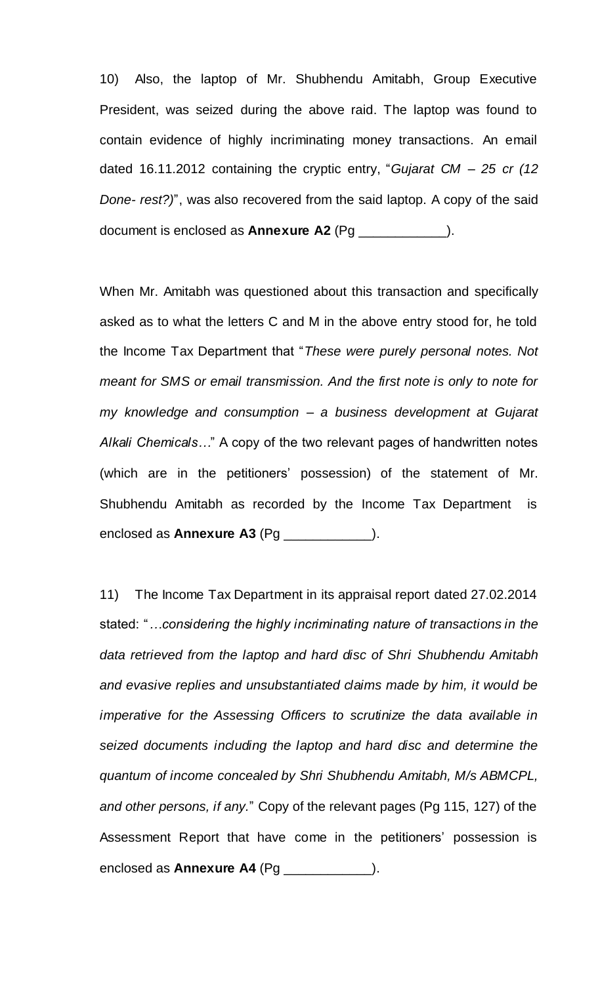10) Also, the laptop of Mr. Shubhendu Amitabh, Group Executive President, was seized during the above raid. The laptop was found to contain evidence of highly incriminating money transactions. An email dated 16.11.2012 containing the cryptic entry, "*Gujarat CM – 25 cr (12 Done- rest?)*", was also recovered from the said laptop. A copy of the said document is enclosed as **Annexure A2** (Pg \_\_\_\_\_\_\_\_\_\_\_\_).

When Mr. Amitabh was questioned about this transaction and specifically asked as to what the letters C and M in the above entry stood for, he told the Income Tax Department that "*These were purely personal notes. Not meant for SMS or email transmission. And the first note is only to note for my knowledge and consumption – a business development at Gujarat Alkali Chemicals…*" A copy of the two relevant pages of handwritten notes (which are in the petitioners" possession) of the statement of Mr. Shubhendu Amitabh as recorded by the Income Tax Department is enclosed as **Annexure A3** (Pg \_\_\_\_\_\_\_\_\_\_\_\_).

11) The Income Tax Department in its appraisal report dated 27.02.2014 stated: "*…considering the highly incriminating nature of transactions in the data retrieved from the laptop and hard disc of Shri Shubhendu Amitabh and evasive replies and unsubstantiated claims made by him, it would be imperative for the Assessing Officers to scrutinize the data available in seized documents including the laptop and hard disc and determine the quantum of income concealed by Shri Shubhendu Amitabh, M/s ABMCPL, and other persons, if any.*" Copy of the relevant pages (Pg 115, 127) of the Assessment Report that have come in the petitioners' possession is enclosed as **Annexure A4** (Pg \_\_\_\_\_\_\_\_\_\_\_\_).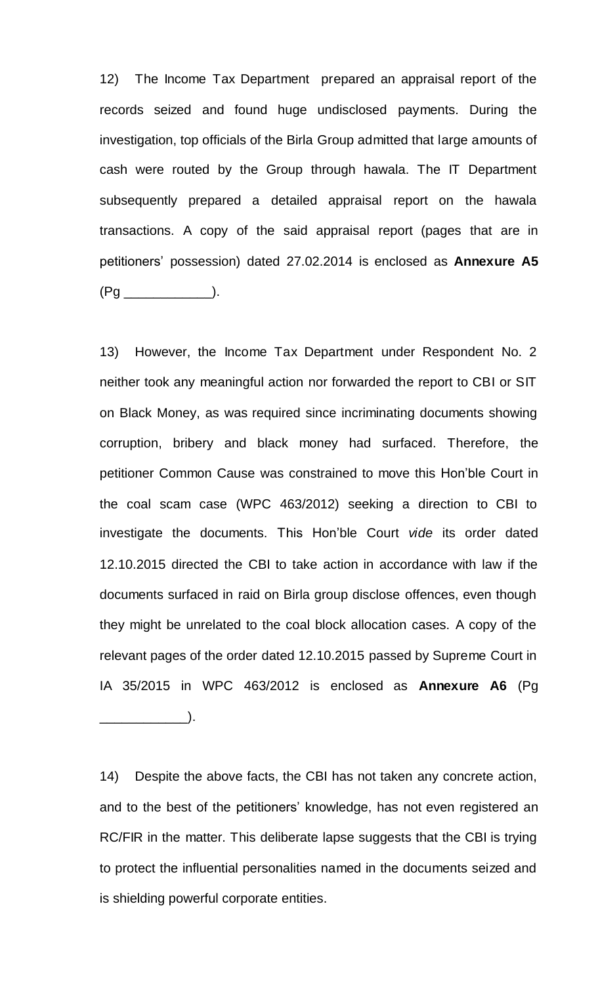12) The Income Tax Department prepared an appraisal report of the records seized and found huge undisclosed payments. During the investigation, top officials of the Birla Group admitted that large amounts of cash were routed by the Group through hawala. The IT Department subsequently prepared a detailed appraisal report on the hawala transactions. A copy of the said appraisal report (pages that are in petitioners" possession) dated 27.02.2014 is enclosed as **Annexure A5** (Pg \_\_\_\_\_\_\_\_\_\_\_\_).

13) However, the Income Tax Department under Respondent No. 2 neither took any meaningful action nor forwarded the report to CBI or SIT on Black Money, as was required since incriminating documents showing corruption, bribery and black money had surfaced. Therefore, the petitioner Common Cause was constrained to move this Hon"ble Court in the coal scam case (WPC 463/2012) seeking a direction to CBI to investigate the documents. This Hon"ble Court *vide* its order dated 12.10.2015 directed the CBI to take action in accordance with law if the documents surfaced in raid on Birla group disclose offences, even though they might be unrelated to the coal block allocation cases. A copy of the relevant pages of the order dated 12.10.2015 passed by Supreme Court in IA 35/2015 in WPC 463/2012 is enclosed as **Annexure A6** (Pg \_\_\_\_\_\_\_\_\_\_\_\_).

14) Despite the above facts, the CBI has not taken any concrete action, and to the best of the petitioners' knowledge, has not even registered an RC/FIR in the matter. This deliberate lapse suggests that the CBI is trying to protect the influential personalities named in the documents seized and is shielding powerful corporate entities.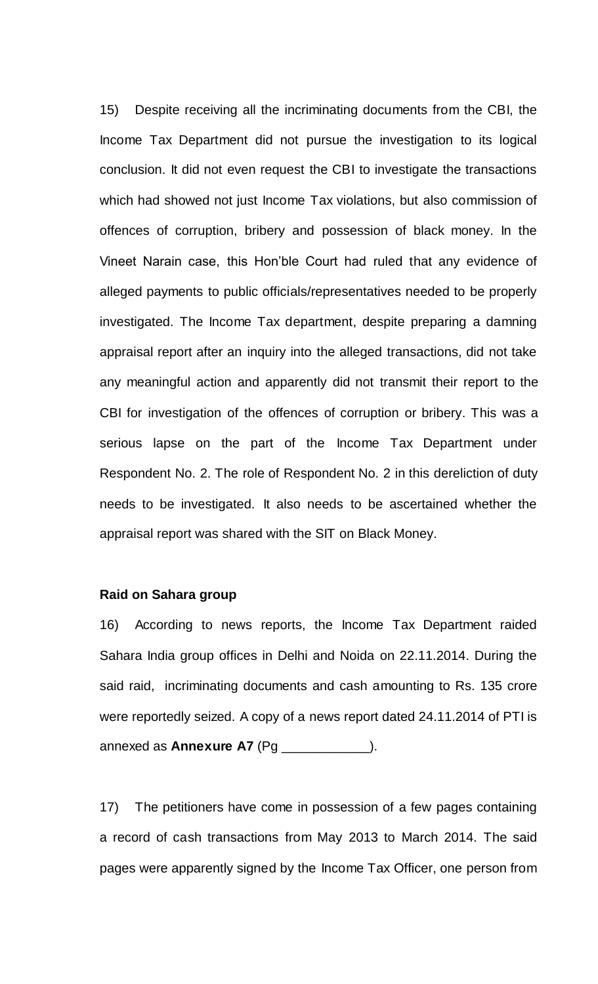15) Despite receiving all the incriminating documents from the CBI, the Income Tax Department did not pursue the investigation to its logical conclusion. It did not even request the CBI to investigate the transactions which had showed not just Income Tax violations, but also commission of offences of corruption, bribery and possession of black money. In the Vineet Narain case, this Hon"ble Court had ruled that any evidence of alleged payments to public officials/representatives needed to be properly investigated. The Income Tax department, despite preparing a damning appraisal report after an inquiry into the alleged transactions, did not take any meaningful action and apparently did not transmit their report to the CBI for investigation of the offences of corruption or bribery. This was a serious lapse on the part of the Income Tax Department under Respondent No. 2. The role of Respondent No. 2 in this dereliction of duty needs to be investigated. It also needs to be ascertained whether the appraisal report was shared with the SIT on Black Money.

### **Raid on Sahara group**

16) According to news reports, the Income Tax Department raided Sahara India group offices in Delhi and Noida on 22.11.2014. During the said raid, incriminating documents and cash amounting to Rs. 135 crore were reportedly seized. A copy of a news report dated 24.11.2014 of PTI is annexed as **Annexure A7** (Pg \_\_\_\_\_\_\_\_\_\_\_\_).

17) The petitioners have come in possession of a few pages containing a record of cash transactions from May 2013 to March 2014. The said pages were apparently signed by the Income Tax Officer, one person from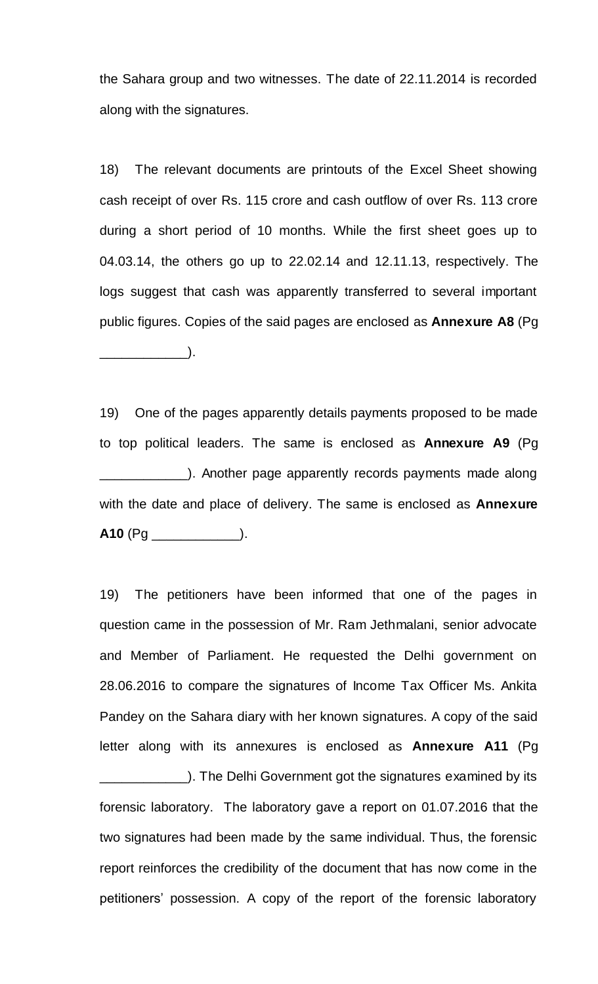the Sahara group and two witnesses. The date of 22.11.2014 is recorded along with the signatures.

18) The relevant documents are printouts of the Excel Sheet showing cash receipt of over Rs. 115 crore and cash outflow of over Rs. 113 crore during a short period of 10 months. While the first sheet goes up to 04.03.14, the others go up to 22.02.14 and 12.11.13, respectively. The logs suggest that cash was apparently transferred to several important public figures. Copies of the said pages are enclosed as **Annexure A8** (Pg  $\qquad \qquad \Box$ 

19) One of the pages apparently details payments proposed to be made to top political leaders. The same is enclosed as **Annexure A9** (Pg **EXECUTE:** Another page apparently records payments made along with the date and place of delivery. The same is enclosed as **Annexure**  A10 (Pg \_\_\_\_\_\_\_\_\_\_\_\_\_\_\_).

19) The petitioners have been informed that one of the pages in question came in the possession of Mr. Ram Jethmalani, senior advocate and Member of Parliament. He requested the Delhi government on 28.06.2016 to compare the signatures of Income Tax Officer Ms. Ankita Pandey on the Sahara diary with her known signatures. A copy of the said letter along with its annexures is enclosed as **Annexure A11** (Pg

**Example 2.1** The Delhi Government got the signatures examined by its forensic laboratory. The laboratory gave a report on 01.07.2016 that the two signatures had been made by the same individual. Thus, the forensic report reinforces the credibility of the document that has now come in the petitioners" possession. A copy of the report of the forensic laboratory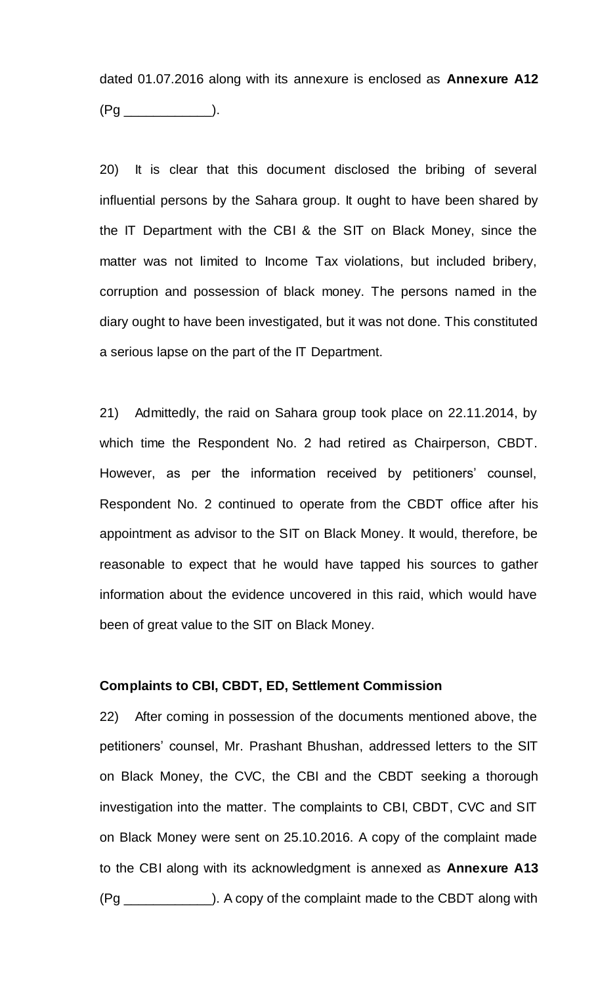dated 01.07.2016 along with its annexure is enclosed as **Annexure A12** (Pg \_\_\_\_\_\_\_\_\_\_\_\_).

20) It is clear that this document disclosed the bribing of several influential persons by the Sahara group. It ought to have been shared by the IT Department with the CBI & the SIT on Black Money, since the matter was not limited to Income Tax violations, but included bribery, corruption and possession of black money. The persons named in the diary ought to have been investigated, but it was not done. This constituted a serious lapse on the part of the IT Department.

21) Admittedly, the raid on Sahara group took place on 22.11.2014, by which time the Respondent No. 2 had retired as Chairperson, CBDT. However, as per the information received by petitioners' counsel, Respondent No. 2 continued to operate from the CBDT office after his appointment as advisor to the SIT on Black Money. It would, therefore, be reasonable to expect that he would have tapped his sources to gather information about the evidence uncovered in this raid, which would have been of great value to the SIT on Black Money.

## **Complaints to CBI, CBDT, ED, Settlement Commission**

22) After coming in possession of the documents mentioned above, the petitioners' counsel, Mr. Prashant Bhushan, addressed letters to the SIT on Black Money, the CVC, the CBI and the CBDT seeking a thorough investigation into the matter. The complaints to CBI, CBDT, CVC and SIT on Black Money were sent on 25.10.2016. A copy of the complaint made to the CBI along with its acknowledgment is annexed as **Annexure A13** (Pg \_\_\_\_\_\_\_\_\_\_\_\_). A copy of the complaint made to the CBDT along with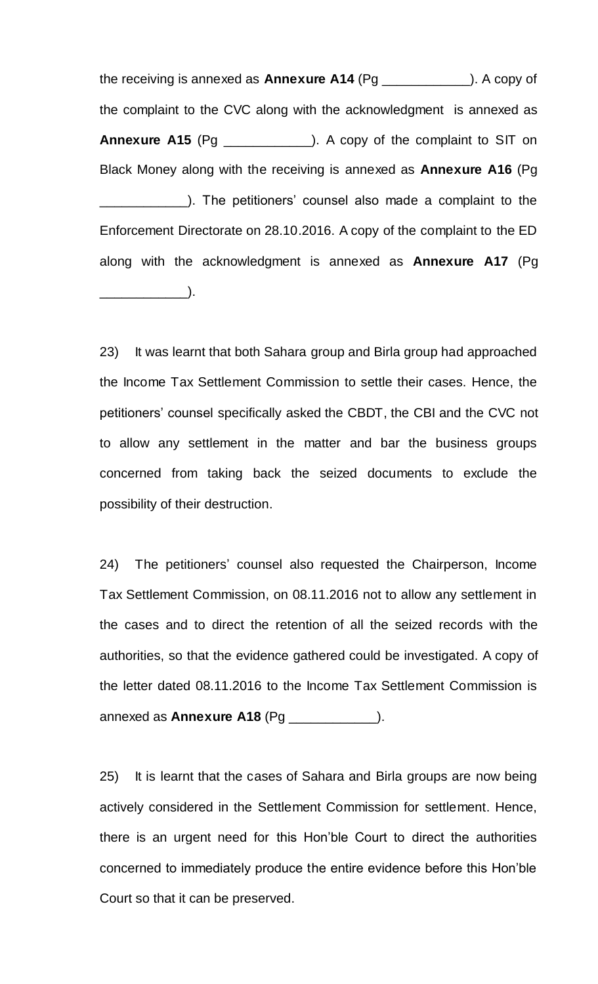the receiving is annexed as **Annexure A14** (Pg \_\_\_\_\_\_\_\_\_\_\_\_). A copy of the complaint to the CVC along with the acknowledgment is annexed as **Annexure A15** (Pg \_\_\_\_\_\_\_\_\_\_\_\_). A copy of the complaint to SIT on Black Money along with the receiving is annexed as **Annexure A16** (Pg \_\_\_\_\_\_\_\_\_\_\_\_). The petitioners" counsel also made a complaint to the Enforcement Directorate on 28.10.2016. A copy of the complaint to the ED along with the acknowledgment is annexed as **Annexure A17** (Pg  $\qquad \qquad \Box$ 

23) It was learnt that both Sahara group and Birla group had approached the Income Tax Settlement Commission to settle their cases. Hence, the petitioners' counsel specifically asked the CBDT, the CBI and the CVC not to allow any settlement in the matter and bar the business groups concerned from taking back the seized documents to exclude the possibility of their destruction.

24) The petitioners' counsel also requested the Chairperson, Income Tax Settlement Commission, on 08.11.2016 not to allow any settlement in the cases and to direct the retention of all the seized records with the authorities, so that the evidence gathered could be investigated. A copy of the letter dated 08.11.2016 to the Income Tax Settlement Commission is annexed as **Annexure A18** (Pg \_\_\_\_\_\_\_\_\_\_\_\_).

25) It is learnt that the cases of Sahara and Birla groups are now being actively considered in the Settlement Commission for settlement. Hence, there is an urgent need for this Hon"ble Court to direct the authorities concerned to immediately produce the entire evidence before this Hon"ble Court so that it can be preserved.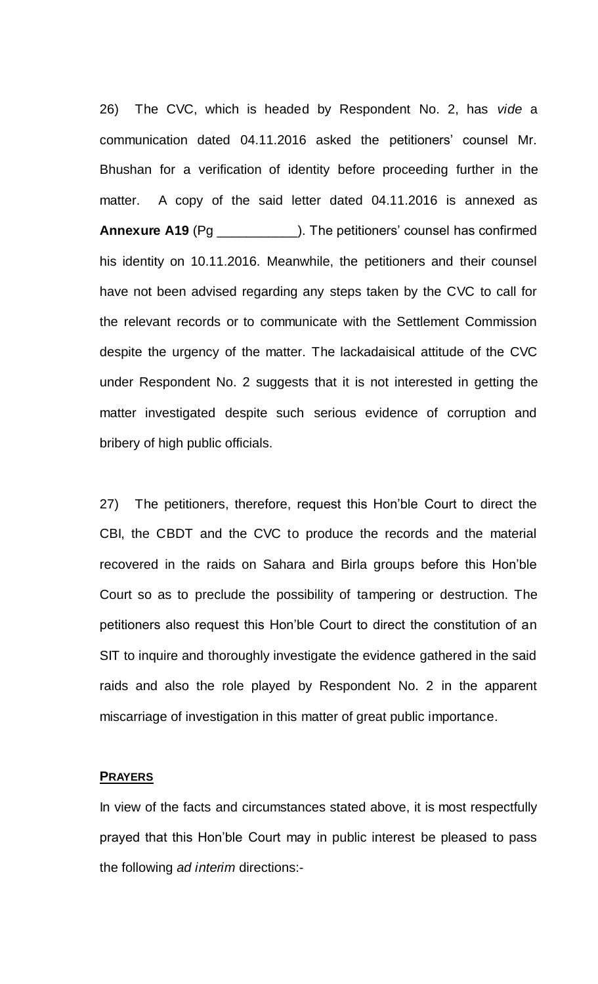26) The CVC, which is headed by Respondent No. 2, has *vide* a communication dated 04.11.2016 asked the petitioners' counsel Mr. Bhushan for a verification of identity before proceeding further in the matter. A copy of the said letter dated 04.11.2016 is annexed as **Annexure A19** (Pg \_\_\_\_\_\_\_\_\_\_\_\_\_\_). The petitioners' counsel has confirmed his identity on 10.11.2016. Meanwhile, the petitioners and their counsel have not been advised regarding any steps taken by the CVC to call for the relevant records or to communicate with the Settlement Commission despite the urgency of the matter. The lackadaisical attitude of the CVC under Respondent No. 2 suggests that it is not interested in getting the matter investigated despite such serious evidence of corruption and bribery of high public officials.

27) The petitioners, therefore, request this Hon"ble Court to direct the CBI, the CBDT and the CVC to produce the records and the material recovered in the raids on Sahara and Birla groups before this Hon"ble Court so as to preclude the possibility of tampering or destruction. The petitioners also request this Hon"ble Court to direct the constitution of an SIT to inquire and thoroughly investigate the evidence gathered in the said raids and also the role played by Respondent No. 2 in the apparent miscarriage of investigation in this matter of great public importance.

#### **PRAYERS**

In view of the facts and circumstances stated above, it is most respectfully prayed that this Hon"ble Court may in public interest be pleased to pass the following *ad interim* directions:-